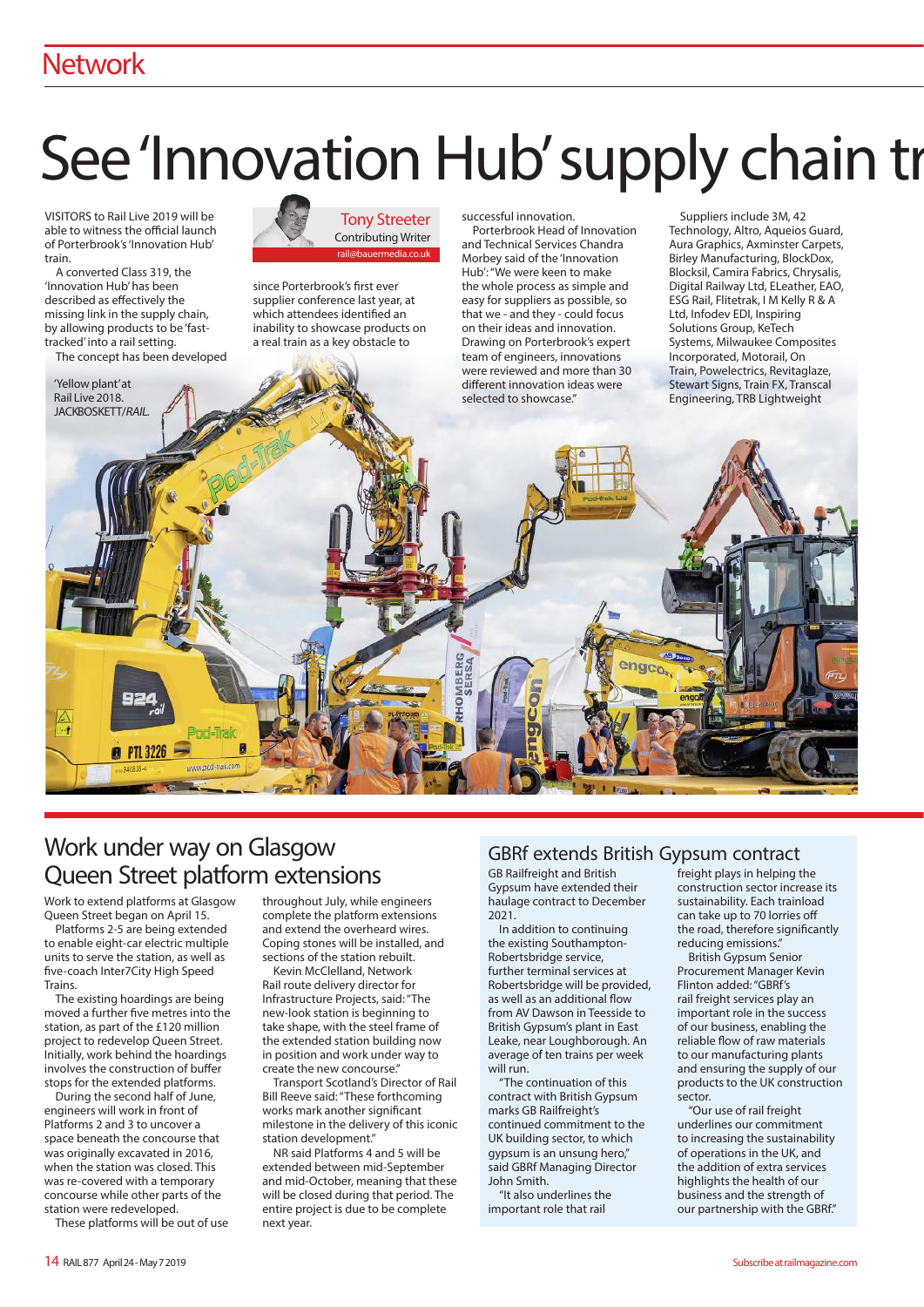## **Network**

# See 'Innovation Hub' supply chain trail The Musics

VISITORS to Rail Live 2019 will be able to witness the official launch of Porterbrook's 'Innovation Hub' train.

A converted Class 319, the 'Innovation Hub' has been described as effectively the missing link in the supply chain, by allowing products to be 'fasttracked' into a rail setting. The concept has been developed

'Yellow plant' at Rail Live 2018 JACKBOSKETT/RAIL.

Tony Streeter Contributing Writer rail@bauermedia.co.uk

since Porterbrook's first ever supplier conference last year, at which attendees identified an inability to showcase products on a real train as a key obstacle to

successful innovation.

Porterbrook Head of Innovation and Technical Services Chandra Morbey said of the 'Innovation Hub': "We were keen to make the whole process as simple and easy for suppliers as possible, so that we - and they - could focus on their ideas and innovation. Drawing on Porterbrook's expert team of engineers, innovations were reviewed and more than 30 different innovation ideas were selected to showcase"

Suppliers include 3M, 42 Technology, Altro, Aqueios Guard, Aura Graphics, Axminster Carpets, Birley Manufacturing, BlockDox, Blocksil, Camira Fabrics, Chrysalis, Digital Railway Ltd, ELeather, EAO, ESG Rail, Flitetrak, I M Kelly R & A Ltd, Infodev EDI, Inspiring Solutions Group, KeTech Systems, Milwaukee Composites Incorporated, Motorail, On Train, Powelectrics, Revitaglaze, Stewart Signs, Train FX, Transcal Engineering, TRB Lightweight

# Work under way on Glasgow Queen Street platform extensions

Work to extend platforms at Glasgow Queen Street began on April 15.

**PTL 3226** 

Platforms 2-5 are being extended to enable eight-car electric multiple units to serve the station, as well as five-coach Inter7City High Speed Trains.

The existing hoardings are being moved a further five metres into the station, as part of the £120 million project to redevelop Queen Street. Initially, work behind the hoardings involves the construction of buffer stops for the extended platforms.

During the second half of June, engineers will work in front of Platforms 2 and 3 to uncover a space beneath the concourse that was originally excavated in 2016, when the station was closed. This was re-covered with a temporary concourse while other parts of the station were redeveloped.

These platforms will be out of use

throughout July, while engineers complete the platform extensions and extend the overheard wires. Coping stones will be installed, and sections of the station rebuilt.

Kevin McClelland, Network Rail route delivery director for Infrastructure Projects, said: "The new-look station is beginning to take shape, with the steel frame of the extended station building now in position and work under way to create the new concourse."

Transport Scotland's Director of Rail Bill Reeve said: "These forthcoming works mark another significant milestone in the delivery of this iconic station development"

NR said Platforms 4 and 5 will be extended between mid-September and mid-October, meaning that these will be closed during that period. The entire project is due to be complete next year.

#### GBRf extends British Gypsum contract

GB Railfreight and British Gypsum have extended their haulage contract to December 2021.

In addition to continuing the existing Southampton-Robertsbridge service, further terminal services at Robertsbridge will be provided, as well as an additional flow from AV Dawson in Teesside to British Gypsum's plant in East Leake, near Loughborough. An average of ten trains per week will run.

"The continuation of this contract with British Gypsum marks GB Railfreight's continued commitment to the UK building sector, to which gypsum is an unsung hero," said GBRf Managing Director John Smith.

"It also underlines the important role that rail

freight plays in helping the construction sector increase its sustainability. Each trainload can take up to 70 lorries off the road, therefore significantly reducing emissions."

British Gypsum Senior Procurement Manager Kevin Flinton added: "GBRf's rail freight services play an important role in the success of our business, enabling the reliable flow of raw materials to our manufacturing plants and ensuring the supply of our products to the UK construction sector.

"Our use of rail freight underlines our commitment to increasing the sustainability of operations in the UK, and the addition of extra services highlights the health of our business and the strength of our partnership with the GBRf."